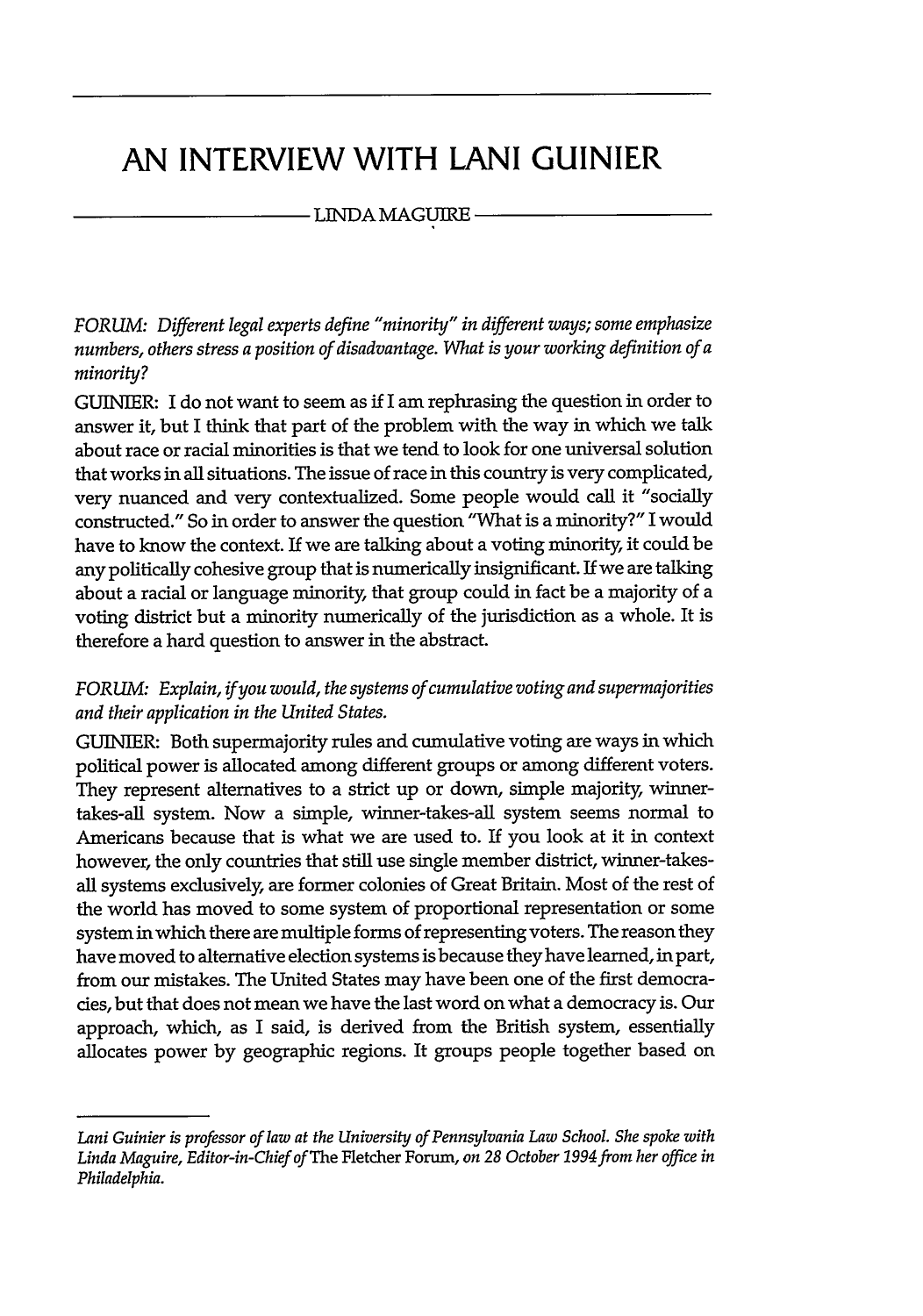# **AN INTERVIEW WITH LANI GUINIER**

# - LINDA MAGUIRE -

*FORUM: Different legal experts define "minority" in different ways; some emphasize numbers, others stress a position of disadvantage. What is your working definition of a minority?*

**GUINIER:** I do not want to seem as **if** I am rephrasing the question in order to answer it, but I think that part of the problem with the way in which we talk about race or racial minorities is that we tend to look for one universal solution that works in all situations. The issue of race in this country is very complicated, very nuanced and very contextualized. Some people would call it "socially constructed." So in order to answer the question "What is a minority?" I would have to know the context. If we are talking about a voting minority, it could be any politically cohesive group that is numerically insignificant. If we are talking about a racial or language minority, that group could in fact be a majority of a voting district but a minority numerically of the jurisdiction as a whole. It is therefore a hard question to answer in the abstract.

# *FORUM: Explain, if you would, the systems of cumulative voting and supermajorities and their application in the United States.*

GUINIER: Both supermajority rules and cumulative voting are ways in which political power is allocated among different groups or among different voters. They represent alternatives to a strict up or down, simple majority, winnertakes-all system. Now a simple, winner-takes-all system seems normal to Americans because that is what we are used to. If you look at it in context however, the only countries that still use single member district, winner-takesall systems exclusively, are former colonies of Great Britain. Most of the rest of the world has moved to some system of proportional representation or some system in which there are multiple forms of representing voters. The reason they have moved to alternative election systems is because they have learned, in part, from our mistakes. The United States may have been one of the first democracies, but that does not mean we have the last word on what a democracy is. Our approach, which, as I said, is derived from the British system, essentially allocates power by geographic regions. It groups people together based on

*Lani Guinier is professor of law at the University of Pennsylvania Law School. She spoke with Linda Maguire, Editor-in-Chief ofThe* Fletcher Forum, *on 28 October 1994from her office in Philadelphia.*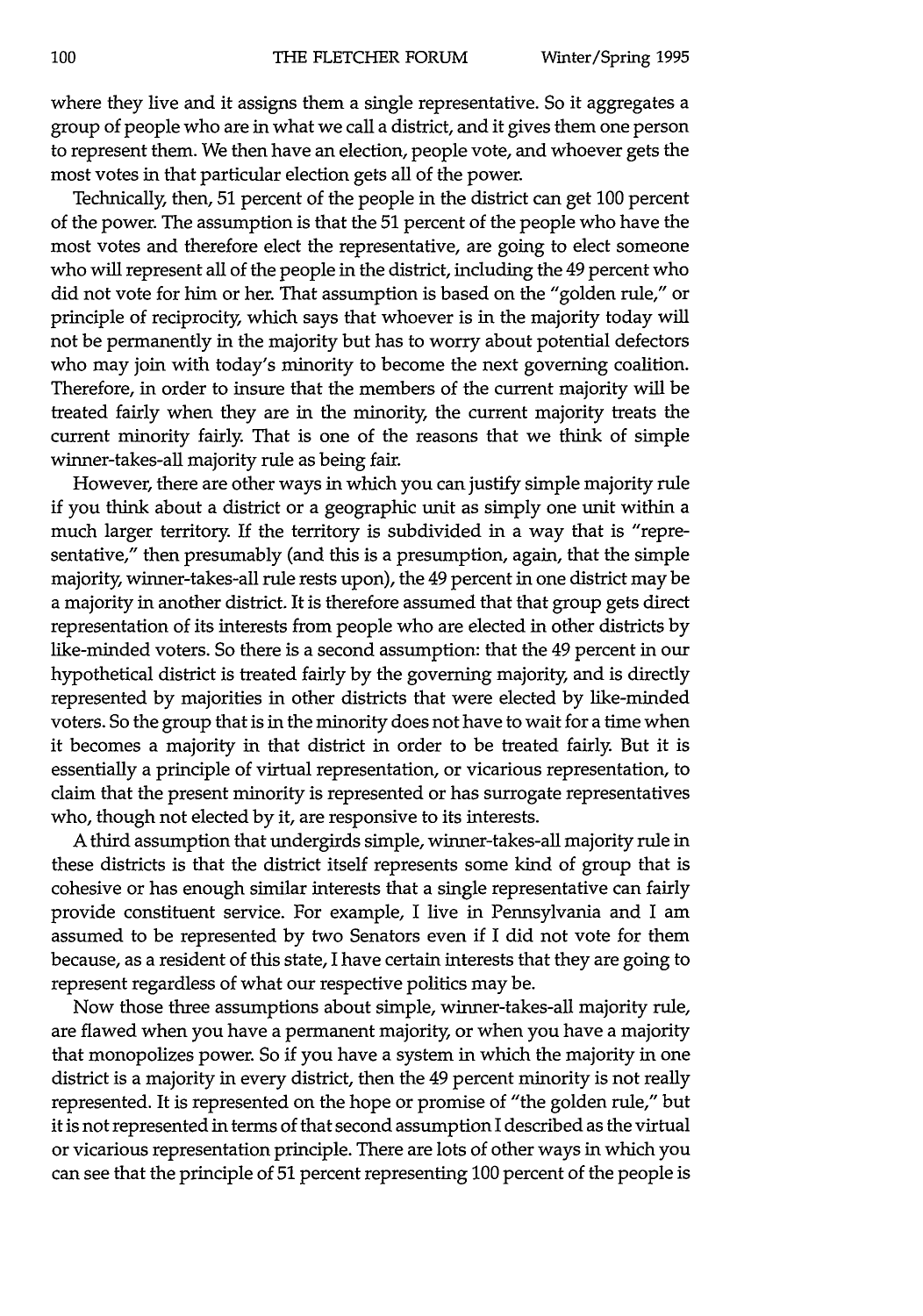where they live and it assigns them a single representative. So it aggregates a group of people who are in what we call a district, and it gives them one person to represent them. We then have an election, people vote, and whoever gets the most votes in that particular election gets all of the power.

Technically, then, 51 percent of the people in the district can get 100 percent of the power. The assumption is that the 51 percent of the people who have the most votes and therefore elect the representative, are going to elect someone who will represent all of the people in the district, including the 49 percent who did not vote for him or her. That assumption is based on the "golden rule," or principle of reciprocity, which says that whoever is in the majority today will not be permanently in the majority but has to worry about potential defectors who may join with today's minority to become the next governing coalition. Therefore, in order to insure that the members of the current majority will be treated fairly when they are in the minority, the current majority treats the current minority fairly. That is one of the reasons that we think of simple winner-takes-all majority rule as being fair.

However, there are other ways in which you can justify simple majority rule if you think about a district or a geographic unit as simply one unit within a much larger territory. If the territory is subdivided in a way that is "representative," then presumably (and this is a presumption, again, that the simple majority, winner-takes-all rule rests upon), the 49 percent in one district may be a majority in another district. It is therefore assumed that that group gets direct representation of its interests from people who are elected in other districts by like-minded voters. So there is a second assumption: that the 49 percent in our hypothetical district is treated fairly by the governing majority, and is directly represented by majorities in other districts that were elected by like-minded voters. So the group that is in the minority does not have to wait for a time when it becomes a majority in that district in order to be treated fairly. But it is essentially a principle of virtual representation, or vicarious representation, to claim that the present minority is represented or has surrogate representatives who, though not elected by it, are responsive to its interests.

A third assumption that undergirds simple, winner-takes-all majority rule in these districts is that the district itself represents some kind of group that is cohesive or has enough similar interests that a single representative can fairly provide constituent service. For example, I live in Pennsylvania and I am assumed to be represented by two Senators even if I did not vote for them because, as a resident of this state, I have certain interests that they are going to represent regardless of what our respective politics may be.

Now those three assumptions about simple, winner-takes-all majority rule, are flawed when you have a permanent majority, or when you have a majority that monopolizes power. So if you have a system in which the majority in one district is a majority in every district, then the 49 percent minority is not really represented. It is represented on the hope or promise of "the golden rule," but it is not represented in terms of that second assumption I described as the virtual or vicarious representation principle. There are lots of other ways in which you can see that the principle of 51 percent representing 100 percent of the people is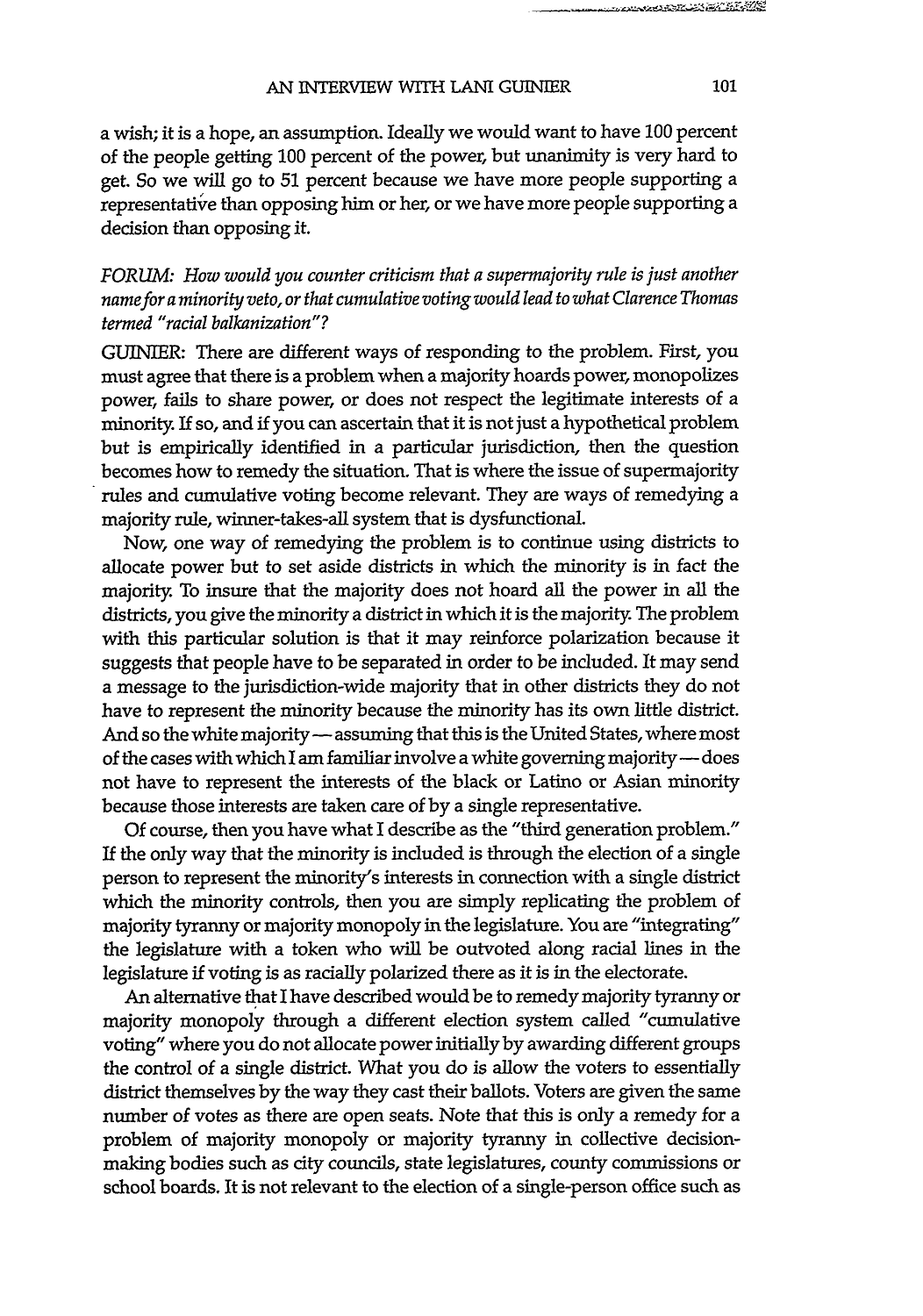a wish; it is a hope, an assumption. Ideally we would want to have 100 percent of the people getting 100 percent of the power, but unanimity is very hard to get. So we will go to 51 percent because we have more people supporting a representative than opposing him or her, or we have more people supporting a decision than opposing it.

*FORUM: How would you counter criticism that a supernajority rule is just another namefora minority veto, or that cumulative voting would lead to what Clarence Thomas termed "racial balkanization"?*

GUINIER: There are different ways of responding to the problem. First, you must agree that there is a problem when a majority hoards power, monopolizes power, fails to share power, or does not respect the legitimate interests of a minority. If so, and **if** you can ascertain that it is not just a hypothetical problem but is empirically identified in a particular jurisdiction, then the question becomes how to remedy the situation. That is where the issue of supermajority rules and cumulative voting become relevant. They are ways of remedying a majority rule, winner-takes-all system that is dysfunctional.

Now, one way of remedying the problem is to continue using districts to allocate power but to set aside districts in which the minority is in fact the majority. To insure that the majority does not hoard all the power in all the districts, you give the minority a district in which it is the majority. The problem with this particular solution is that it may reinforce polarization because it suggests that people have to be separated in order to be included. It may send a message to the jurisdiction-wide majority that in other districts they do not have to represent the minority because the minority has its own little district. And so the white majority - assuming that this is the United States, where most of the cases with which I am familiar involve a white governing majority -- does not have to represent the interests of the black or Latino or Asian minority because those interests are taken care of by a single representative.

Of course, then you have what I describe as the "third generation problem." If the only way that the minority is included is through the election of a single person to represent the minority's interests in connection with a single district which the minority controls, then you are simply replicating the problem of majority tyranny or majority monopoly in the legislature. You are "integrating" the legislature with a token who will be outvoted along racial lines in the legislature if voting is as racially polarized there as it is in the electorate.

An alternative that I have described would be to remedy majority tyranny or majority monopoly through a different election system called "cumulative voting" where you do not allocate power initially by awarding different groups the control of a single district. What you do is allow the voters to essentially district themselves by the way they cast their ballots. Voters are given the same number of votes as there are open seats. Note that this is only a remedy for a problem of majority monopoly or majority tyranny in collective decisionmaking bodies such as city councils, state legislatures, county commissions or school boards. It is not relevant to the election of a single-person office such as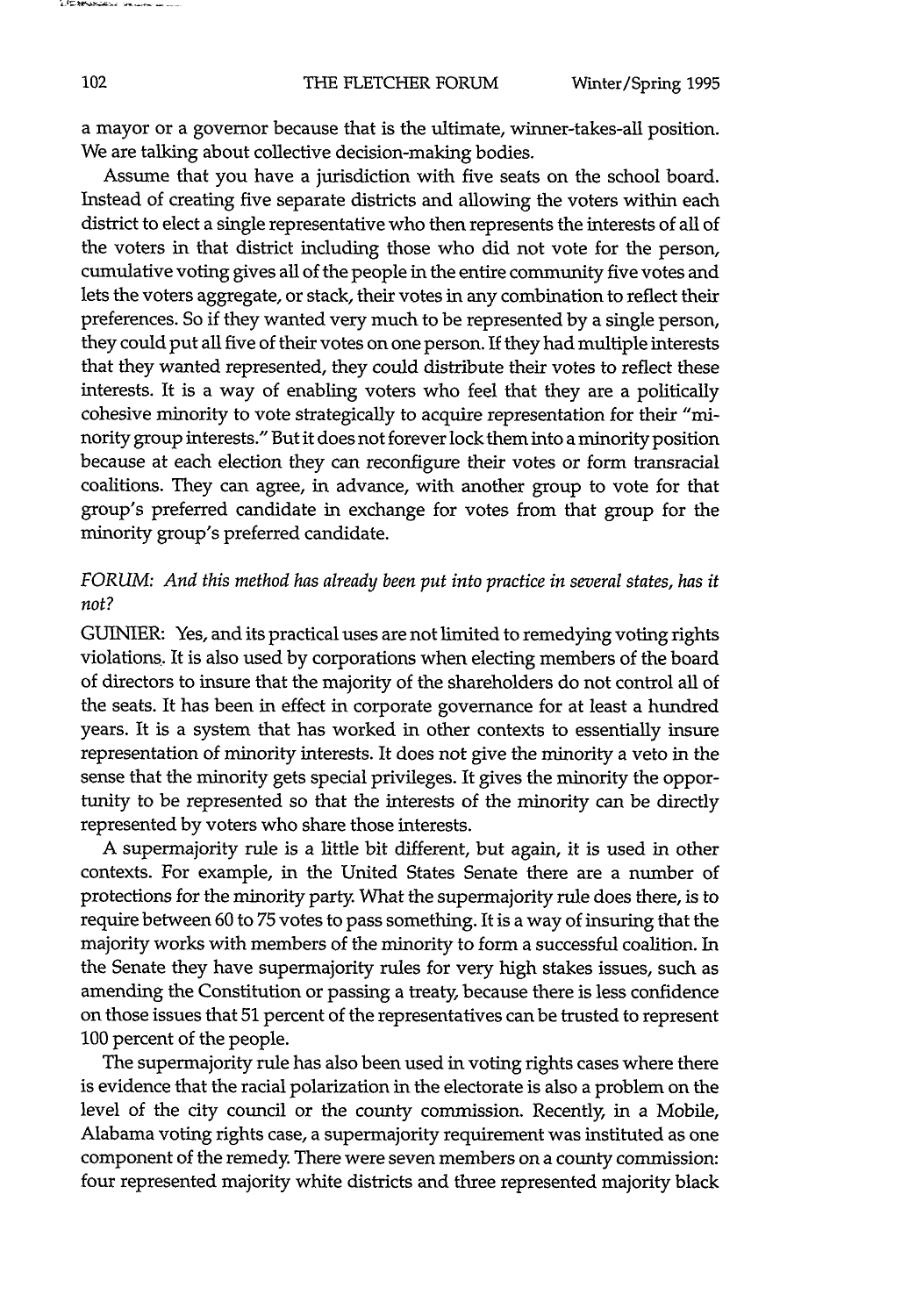a mayor or a governor because that is the ultimate, winner-takes-all position. We are talking about collective decision-making bodies.

Assume that you have a jurisdiction with five seats on the school board. Instead of creating five separate districts and allowing the voters within each district to elect a single representative who then represents the interests of all of the voters in that district including those who did not vote for the person, cumulative voting gives all of the people in the entire community five votes and lets the voters aggregate, or stack, their votes in any combination to reflect their preferences. So if they wanted very much to be represented by a single person, they could put all five of their votes on one person. If they had multiple interests that they wanted represented, they could distribute their votes to reflect these interests. It is a way of enabling voters who feel that they are a politically cohesive minority to vote strategically to acquire representation for their "minority group interests." But it does not forever lock them into a minority position because at each election they can reconfigure their votes or form transracial coalitions. They can agree, in advance, with another group to vote for that group's preferred candidate in exchange for votes from that group for the minority group's preferred candidate.

## *FORUM: And this method has already been put into practice in several states, has it not?*

GUINIER: Yes, and its practical uses are not limited to remedying voting rights violations.. It is also used by corporations when electing members of the board of directors to insure that the majority of the shareholders do not control all of the seats. It has been in effect in corporate governance for at least a hundred years. It is a system that has worked in other contexts to essentially insure representation of minority interests. It does not give the minority a veto in the sense that the minority gets special privileges. It gives the minority the opportunity to be represented so that the interests of the minority can be directly represented by voters who share those interests.

A supermajority rule is a little bit different, but again, it is used in other contexts. For example, in the United States Senate there are a number of protections for the minority party. What the supermajority rule does there, is to require between 60 to 75 votes to pass something. It is a way of insuring that the majority works with members of the minority to form a successful coalition. In the Senate they have supermajority rules for very high stakes issues, such as amending the Constitution or passing a treaty, because there is less confidence on those issues that 51 percent of the representatives can be trusted to represent 100 percent of the people.

The supermajority rule has also been used in voting rights cases where there is evidence that the racial polarization in the electorate is also a problem on the level of the city council or the county commission. Recently, in a Mobile, Alabama voting rights case, a supermajority requirement was instituted as one component of the remedy There were seven members on a county commission: four represented majority white districts and three represented majority black

and the background of the content and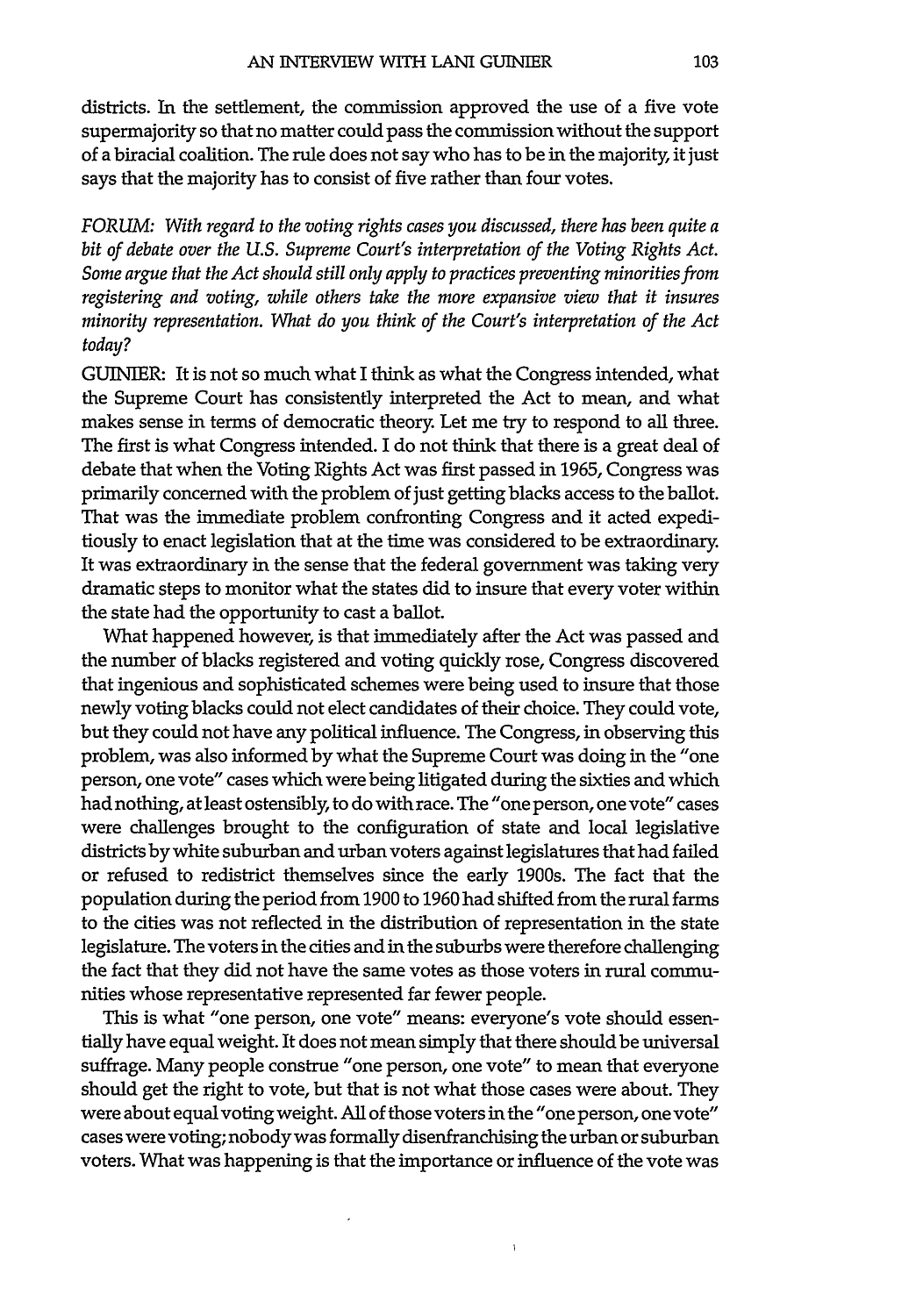districts. In the settlement, the commission approved the use of a five vote supermajority so that no matter could pass the commission without the support of a biracial coalition. The rule does not say who has to be in the majority, it just says that the majority has to consist of five rather than four votes.

*FORUM: With regard to the voting rights cases you discussed, there has been quite a bit of debate over the U.S. Supreme Court's interpretation of the Voting Rights Act. Some argue that the Act should still only apply to practices preventing minorities from registering and voting, while others take the more expansive view that it insures minority representation. What do you think of the Court's interpretation of the Act* today?

GUINIER: It is not so much what I think as what the Congress intended, what the Supreme Court has consistently interpreted the Act to mean, and what makes sense in terms of democratic theory. Let me try to respond to all three. The first is what Congress intended. I do not think that there is a great deal of debate that when the Voting Rights Act was first passed in **1965,** Congress was primarily concerned with the problem of just getting blacks access to the ballot. That was the immediate problem confronting Congress and it acted expeditiously to enact legislation that at the time was considered to be extraordinary. It was extraordinary in the sense that the federal government was taking very dramatic steps to monitor what the states did to insure that every voter within the state had the opportunity to cast a ballot.

What happened however, is that immediately after the Act was passed and the number of blacks registered and voting quickly rose, Congress discovered that ingenious and sophisticated schemes were being used to insure that those newly voting blacks could not elect candidates of their choice. They could vote, but they could not have any political influence. The Congress, in observing this problem, was also informed **by** what the Supreme Court was doing in the "one person, one vote" cases which were being litigated during the sixties and which had nothing, at least ostensibly, to do with race. The "one person, one vote" cases were challenges brought to the configuration of state and local legislative districts **by** white suburban and urban voters against legislatures that had failed or refused to redistrict themselves since the early 1900s. The fact that the population during the period from **1900** to **1960** had shifted from the rural **farms** to the cities was not reflected in the distribution of representation in the state legislature. The voters in the cities and in the suburbs were therefore challenging the fact that they did not have the same votes as those voters in rural communities whose representative represented far fewer people.

This is what "one person, one vote" means: everyone's vote should essentially have equal weight. It does not mean simply that there should be universal suffrage. Many people construe "one person, one vote" to mean that everyone should get the right to vote, but that is not what those cases were about. They were about equal voting weight. **All** of those voters in the "one person, one vote" cases were voting; nobody was formally disenfranchising the urban or suburban voters. What was happening is that the importance or influence of the vote was

 $\mathbf{I}$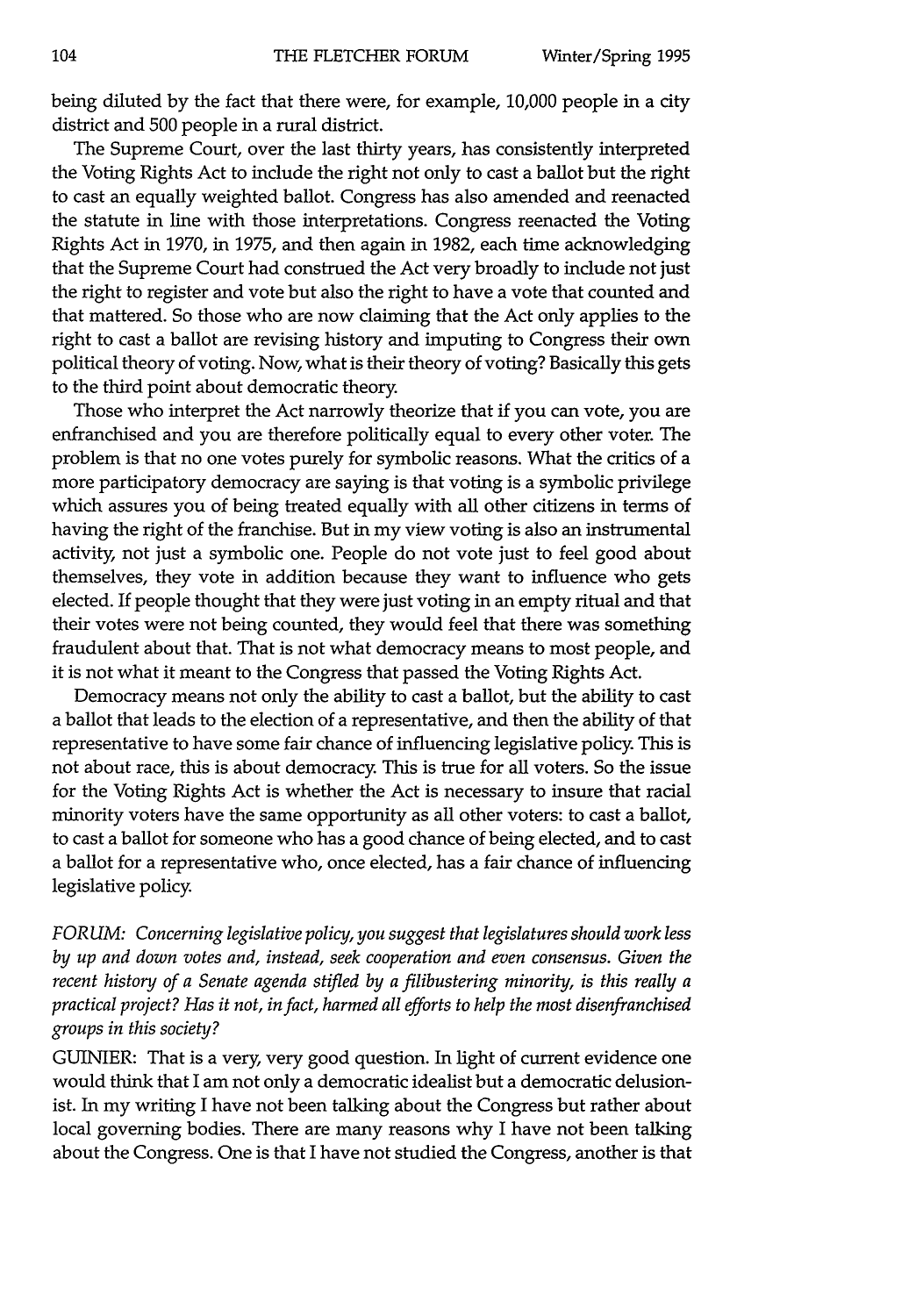being diluted by the fact that there were, for example, **10,000** people in a city district and 500 people in a rural district.

The Supreme Court, over the last thirty years, has consistently interpreted the Voting Rights Act to include the right not only to cast a ballot but the right to cast an equally weighted ballot. Congress has also amended and reenacted the statute in line with those interpretations. Congress reenacted the Voting Rights Act in 1970, in 1975, and then again in 1982, each time acknowledging that the Supreme Court had construed the Act very broadly to include not just the right to register and vote but also the right to have a vote that counted and that mattered. So those who are now claiming that the Act only applies to the right to cast a ballot are revising history and imputing to Congress their own political theory of voting. Now, what is their theory of voting? Basically this gets to the third point about democratic theory.

Those who interpret the Act narrowly theorize that if you can vote, you are enfranchised and you are therefore politically equal to every other voter. The problem is that no one votes purely for symbolic reasons. What the critics of a more participatory democracy are saying is that voting is a symbolic privilege which assures you of being treated equally with all other citizens in terms of having the right of the franchise. But in my view voting is also an instrumental activity, not just a symbolic one. People do not vote just to feel good about themselves, they vote in addition because they want to influence who gets elected. If people thought that they were just voting in an empty ritual and that their votes were not being counted, they would feel that there was something fraudulent about that. That is not what democracy means to most people, and it is not what it meant to the Congress that passed the Voting Rights Act.

Democracy means not only the ability to cast a ballot, but the ability to cast a ballot that leads to the election of a representative, and then the ability of that representative to have some fair chance of influencing legislative policy. This is not about race, this is about democracy This is true for all voters. So the issue for the Voting Rights Act is whether the Act is necessary to insure that racial minority voters have the same opportunity as all other voters: to cast a ballot, to cast a ballot for someone who has a good chance of being elected, and to cast a ballot for a representative who, once elected, has a fair chance of influencing legislative policy

*FORUM: Concerning legislative policy, you suggest that legislatures should work less by up and down votes and, instead, seek cooperation and even consensus. Given the recent history of a Senate agenda stifled by a filibustering minority, is this really a practical project? Has it not, in fact, harmed all efforts to help the most disenfranchised groups in this society?*

GUINIER: That is a very, very good question. In light of current evidence one would think that I am not only a democratic idealist but a democratic delusionist. In my writing I have not been talking about the Congress but rather about local governing bodies. There are many reasons why I have not been talking about the Congress. One is that I have not studied the Congress, another is that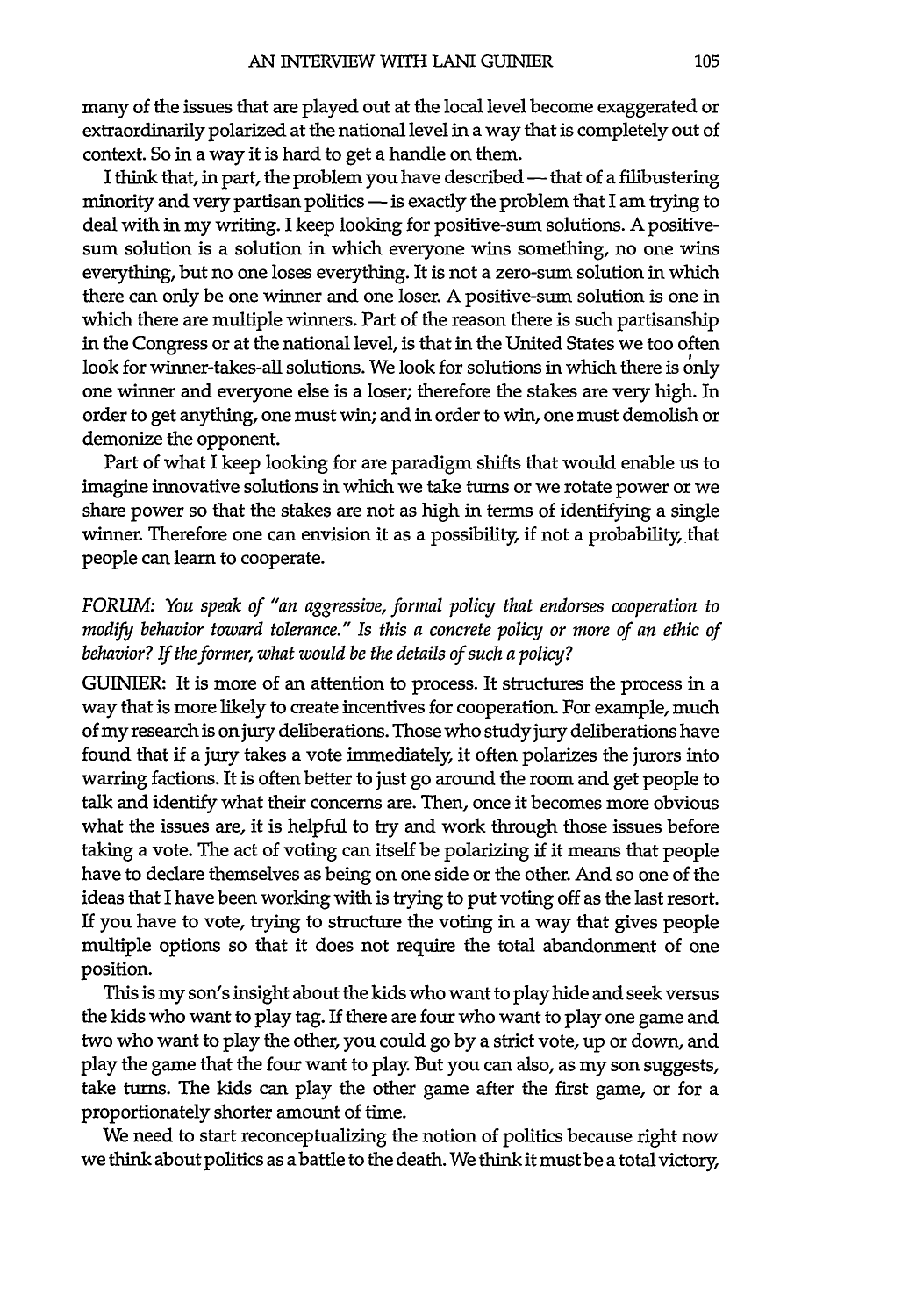many of the issues that are played out at the local level become exaggerated or extraordinarily polarized at the national level in a way that is completely out of context. So in a way it is hard to get a handle on them.

I think that, in part, the problem you have described — that of a filibustering minority and very partisan politics - is exactly the problem that I am trying to deal with in my writing. I keep looking for positive-sum solutions. A positivesum solution is a solution in which everyone wins something, no one wins everything, but no one loses everything. It is not a zero-sum solution in which there can only be one winner and one loser. A positive-sum solution is one in which there are multiple winners. Part of the reason there is such partisanship in the Congress or at the national level, is that in the United States we too often look for winner-takes-all solutions. We look for solutions in which there is only one winner and everyone else is a loser; therefore the stakes are very high. In order to get anything, one must win; and in order to win, one must demolish or demonize the opponent.

Part of what I keep looking for are paradigm shifts that would enable us to imagine innovative solutions in which we take turns or we rotate power or we share power so that the stakes are not as high in terms of identifying a single winner. Therefore one can envision it as a possibility, if not a probability that people can learn to cooperate.

# *FORUM: You speak of "an aggressive, formal policy that endorses cooperation to modify behavior toward tolerance." Is this a concrete policy or more of an ethic of behavior? If the former, what would be the details of such a policy?*

GUINIER: It is more of an attention to process. It structures the process in a way that is more likely to create incentives for cooperation. For example, much of my research is on jury deliberations. Those who study jury deliberations have found that if a jury takes a vote immediately it often polarizes the jurors into warring factions. It is often better to just go around the room and get people to talk and identify what their concerns are. Then, once it becomes more obvious what the issues are, it is helpful to try and work through those issues before taking a vote. The act of voting can itself be polarizing if it means that people have to declare themselves as being on one side or the other. And so one of the ideas that I have been working with is trying to put voting off as the last resort. If you have to vote, trying to structure the voting in a way that gives people multiple options so that it does not require the total abandonment of one position.

This is my son's insight about the kids who want to play hide and seek versus the kids who want to play tag. If there are four who want to play one game and two who want to play the other, you could go by a strict vote, up or down, and play the game that the four want to play But you can also, as my son suggests, take turns. The kids can play the other game after the first game, or for a proportionately shorter amount of time.

We need to start reconceptualizing the notion of politics because right now we think about politics as a battle to the death. We think it must be a total victory,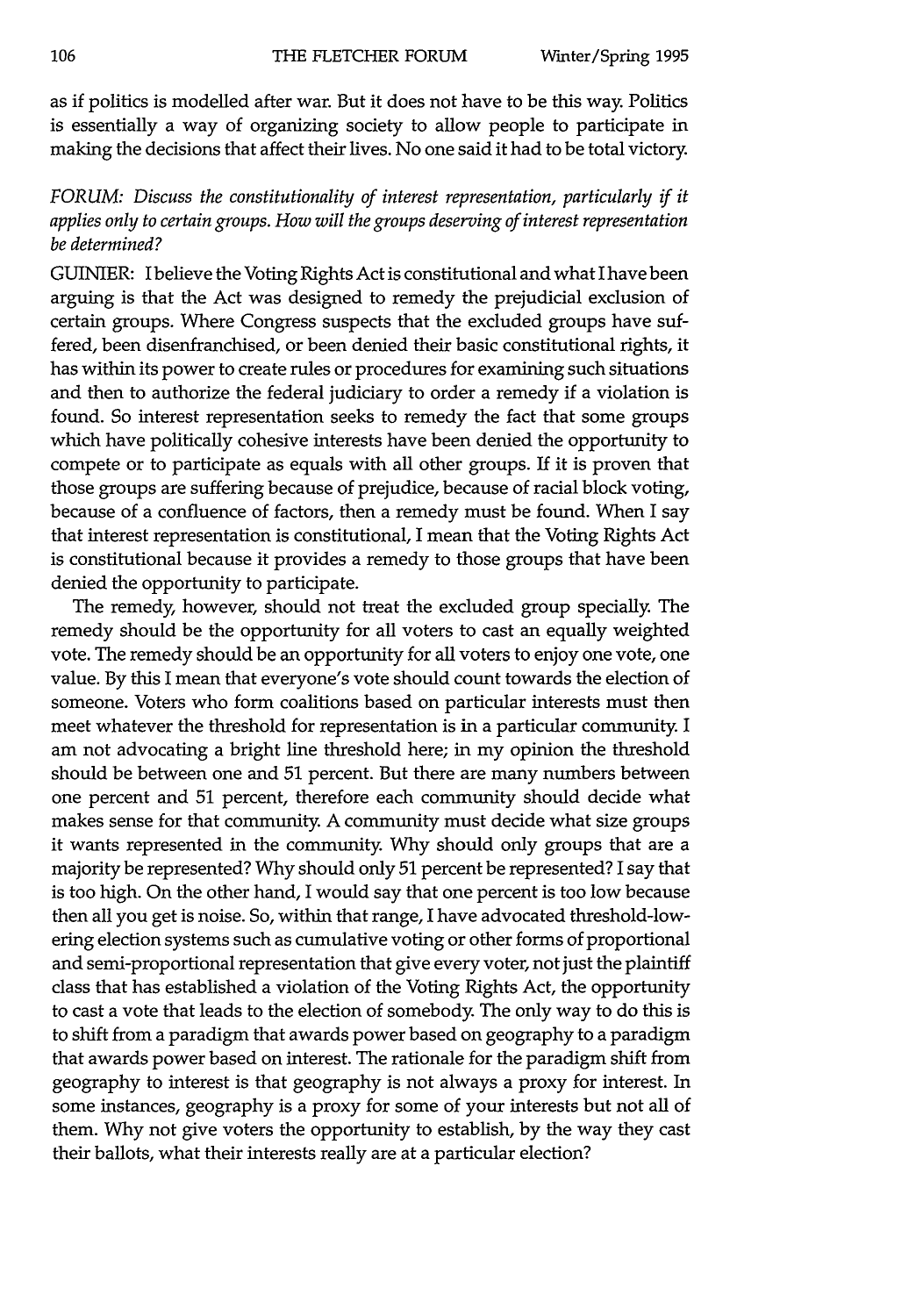as if politics is modelled after war. But it does not have to be this way. Politics is essentially a way of organizing society to allow people to participate in making the decisions that affect their lives. No one said it had to be total victory.

# *FORUM: Discuss the constitutionality of interest representation, particularly if it applies only to certain groups. How will the groups deserving of interest representation be determined?*

GUINIER: I believe the Voting Rights Act is constitutional and what I have been arguing is that the Act was designed to remedy the prejudicial exclusion of certain groups. Where Congress suspects that the excluded groups have suffered, been disenfranchised, or been denied their basic constitutional rights, it has within its power to create rules or procedures for examining such situations and then to authorize the federal judiciary to order a remedy if a violation is found. So interest representation seeks to remedy the fact that some groups which have politically cohesive interests have been denied the opportunity to compete or to participate as equals with all other groups. If it is proven that those groups are suffering because of prejudice, because of racial block voting, because of a confluence of factors, then a remedy must be found. When I say that interest representation is constitutional, I mean that the Voting Rights Act is constitutional because it provides a remedy to those groups that have been denied the opportunity to participate.

The remedy, however, should not treat the excluded group specially. The remedy should be the opportunity for all voters to cast an equally weighted vote. The remedy should be an opportunity for all voters to enjoy one vote, one value. By this I mean that everyone's vote should count towards the election of someone. Voters who form coalitions based on particular interests must then meet whatever the threshold for representation is in a particular community. I am not advocating a bright line threshold here; in my opinion the threshold should be between one and 51 percent. But there are many numbers between one percent and 51 percent, therefore each community should decide what makes sense for that community. A community must decide what size groups it wants represented in the community. Why should only groups that are a majority be represented? Why should only 51 percent be represented? I say that is too high. On the other hand, I would say that one percent is too low because then all you get is noise. So, within that range, I have advocated threshold-lowering election systems such as cumulative voting or other forms of proportional and semi-proportional representation that give every voter, not just the plaintiff class that has established a violation of the Voting Rights Act, the opportunity to cast a vote that leads to the election of somebody. The only way to do this is to shift from a paradigm that awards power based on geography to a paradigm that awards power based on interest. The rationale for the paradigm shift from geography to interest is that geography is not always a proxy for interest. In some instances, geography is a proxy for some of your interests but not all of them. Why not give voters the opportunity to establish, by the way they cast their ballots, what their interests really are at a particular election?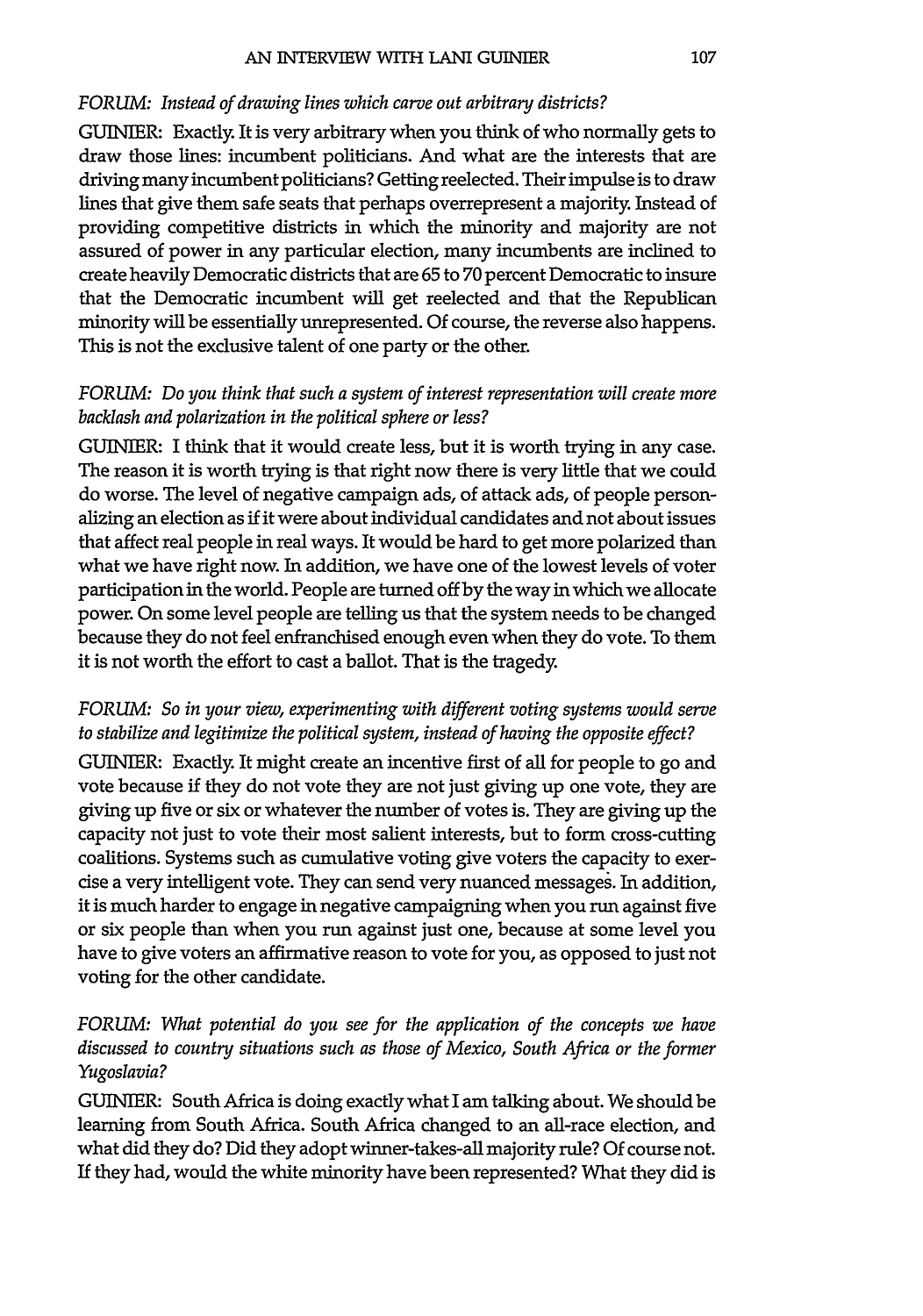#### *FORUM: Instead of drawing lines which carve out arbitrary districts?*

**GUINIER:** Exactly. It is very arbitrary when you think of who normally gets to draw those lines: incumbent politicians. And what are the interests that are driving many incumbent politicians? Getting reelected. Their impulse is to draw lines that give them safe seats that perhaps overrepresent a majority. Instead of providing competitive districts in which the minority and majority are not assured of power in any particular election, many incumbents are inclined to create heavily Democratic districts that are 65 to 70 percent Democratic to insure that the Democratic incumbent will get reelected and that the Republican minority will be essentially unrepresented. Of course, the reverse also happens. This is not the exclusive talent of one party or the other.

## *FORUM: Do you think that such a system of interest representation will create more backlash and polarization in the political sphere or less?*

GUINTER: I think that it would create less, but it is worth trying in any case. The reason it is worth trying is that right now there is very little that we could do worse. The level of negative campaign ads, of attack ads, of people personalizing an election as if it were about individual candidates and not about issues that affect real people in real ways. It would be hard to get more polarized than what we have right now. In addition, we have one of the lowest levels of voter participation in the world. People are turned off by the way in which we allocate power. On some level people are telling us that the system needs to be changed because they do not feel enfranchised enough even when they do vote. To them it is not worth the effort to cast a ballot. That is the tragedy.

# *FORUM: So in your view, experimenting with different voting systems would serve to stabilize and legitimize the political system, instead of having the opposite effect?*

GUINIER: Exactly. It might create an incentive first of all for people to go and vote because if they do not vote they are not just giving up one vote, they are giving up five or six or whatever the number of votes is. They are giving up the capacity not just to vote their most salient interests, but to form cross-cutting coalitions. Systems such as cumulative voting give voters the capacity to exercise a very intelligent vote. They can send very nuanced messages. In addition, it is much harder to engage in negative campaigning when you run against five or six people than when you run against just one, because at some level you have to give voters an affirmative reason to vote for you, as opposed to just not voting for the other candidate.

# *FORUM: What potential do you see for the application of the concepts we have discussed to country situations such as those of Mexico, South Africa or the former Yugoslavia?*

GUINIER: South Africa is doing exactly what **I** am talking about. We should be learning from South Africa. South Africa changed to an all-race election, and what did they do? Did they adopt winner-takes-all majority rule? Of course not. If they had, would the white minority have been represented? What they did is